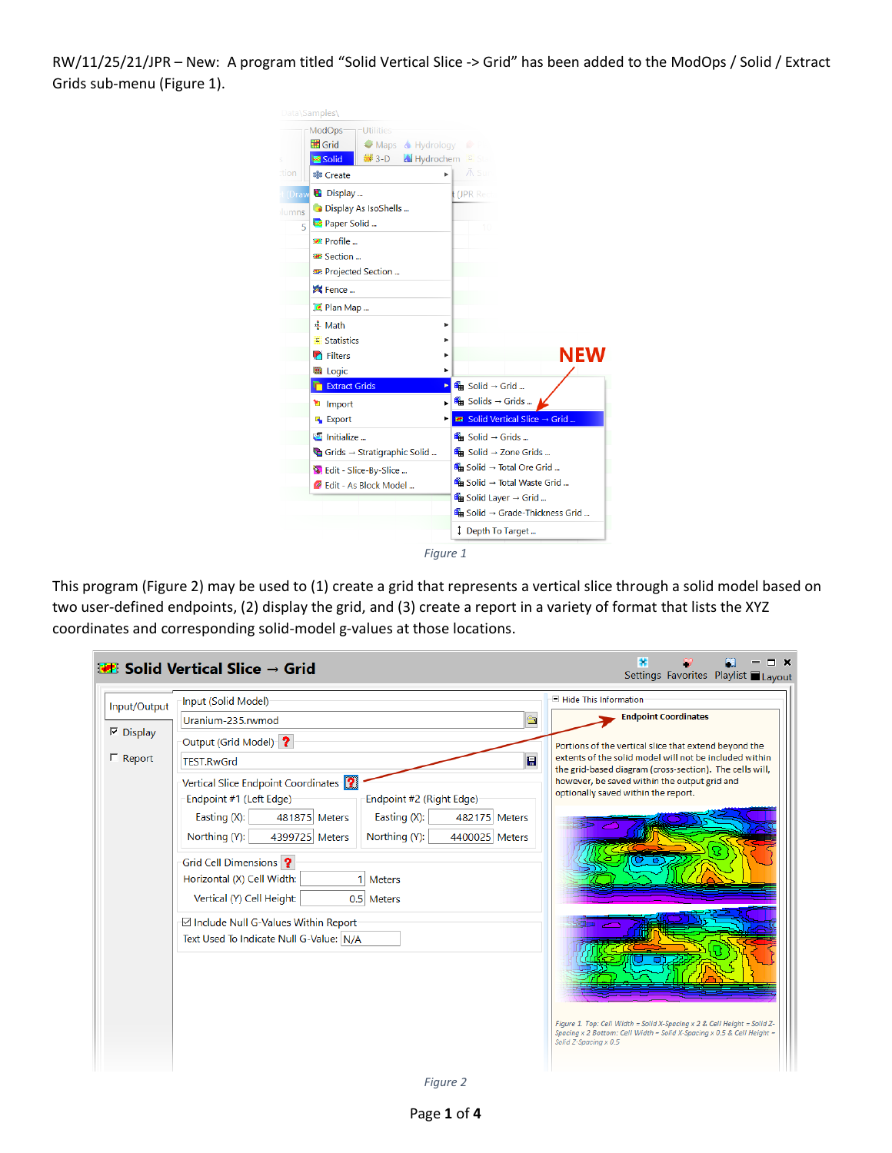RW/11/25/21/JPR – New: A program titled "Solid Vertical Slice -> Grid" has been added to the ModOps / Solid / Extract Grids sub-menu [\(Figure 1\)](#page-0-0).

| Data\Samples\                                                                                                                               |                                                                                                                          |
|---------------------------------------------------------------------------------------------------------------------------------------------|--------------------------------------------------------------------------------------------------------------------------|
| ModOps <sup>®</sup><br><b>Utilities</b><br>₩ Grid<br>Maps Hydrology P<br>$3-D$<br>Hydrochem E Sta<br>Solid<br>s                             |                                                                                                                          |
| tion<br>ь<br><b>非 Create</b>                                                                                                                | <b>∧</b> Sur                                                                                                             |
| B Display<br>(Draw<br>Display As IsoShells<br>lumns<br>Paper Solid<br>5<br>Profile<br><b>EXECTED</b> Section<br><b>33</b> Projected Section | (JPR Red                                                                                                                 |
| Fence<br>Plan Map                                                                                                                           |                                                                                                                          |
| <u>후</u> Math<br>۰<br><b>E</b> Statistics<br><b>Filters</b><br>Þ                                                                            | NEW                                                                                                                      |
| <b>B</b> Logic<br>▶                                                                                                                         |                                                                                                                          |
| <b>Extract Grids</b><br>►<br><sup>t</sup> Import<br><b>Export</b>                                                                           | $\mathbb{R}$ Solid $\rightarrow$ Grid<br><del>l</del> a Solids → Grids<br><sup>88</sup> Solid Vertical Slice → Grid      |
| Initialize<br>Grids → Stratigraphic Solid                                                                                                   | $\mathbb{R}$ Solid $\rightarrow$ Grids<br>$\lim$ Solid $\rightarrow$ Zone Grids                                          |
| Belit - Slice-By-Slice<br><sup>2</sup> Edit - As Block Model                                                                                | <b>Get</b> Solid → Total Ore Grid<br><b>6 Solid → Total Waste Grid </b><br>$\blacksquare$ Solid Layer $\rightarrow$ Grid |
|                                                                                                                                             | <b>In Solid → Grade-Thickness Grid </b><br>Depth To Target                                                               |

*Figure 1*

<span id="page-0-0"></span>This program [\(Figure 2\)](#page-0-1) may be used to (1) create a grid that represents a vertical slice through a solid model based on two user-defined endpoints, (2) display the grid, and (3) create a report in a variety of format that lists the XYZ coordinates and corresponding solid-model g-values at those locations.

<span id="page-0-1"></span>

| Input (Solid Model)<br>$\frac{\partial \mathbf{r}}{\partial \mathbf{r}^2}$<br>Uranium-235.rwmod<br>Output (Grid Model) ?<br>$\blacksquare$<br><b>TEST.RwGrd</b>                                                                                                                                                                                                                                                                                   | $\Box$ Hide This Information<br><b>Endpoint Coordinates</b><br>Portions of the vertical slice that extend beyond the<br>extents of the solid model will not be included within                                             |
|---------------------------------------------------------------------------------------------------------------------------------------------------------------------------------------------------------------------------------------------------------------------------------------------------------------------------------------------------------------------------------------------------------------------------------------------------|----------------------------------------------------------------------------------------------------------------------------------------------------------------------------------------------------------------------------|
|                                                                                                                                                                                                                                                                                                                                                                                                                                                   |                                                                                                                                                                                                                            |
|                                                                                                                                                                                                                                                                                                                                                                                                                                                   |                                                                                                                                                                                                                            |
|                                                                                                                                                                                                                                                                                                                                                                                                                                                   |                                                                                                                                                                                                                            |
|                                                                                                                                                                                                                                                                                                                                                                                                                                                   |                                                                                                                                                                                                                            |
| Vertical Slice Endpoint Coordinates<br>Endpoint #2 (Right Edge)<br>Endpoint #1 (Left Edge)<br>Easting (X):<br>481875 Meters<br>Easting (X):<br>482175 Meters<br>Northing (Y):<br>Northing (Y):<br>4399725 Meters<br>4400025 Meters<br>Grid Cell Dimensions ?<br>Horizontal (X) Cell Width:<br><b>Meters</b><br>Vertical (Y) Cell Height:<br>0.5 Meters<br><b>⊠ Include Null G-Values Within Report</b><br>Text Used To Indicate Null G-Value: N/A | the grid-based diagram (cross-section). The cells will,<br>however, be saved within the output grid and<br>optionally saved within the report.<br>Figure 1. Top: Cell Width = Solid X-Spacing x 2 & Cell Height = Solid Z- |
|                                                                                                                                                                                                                                                                                                                                                                                                                                                   |                                                                                                                                                                                                                            |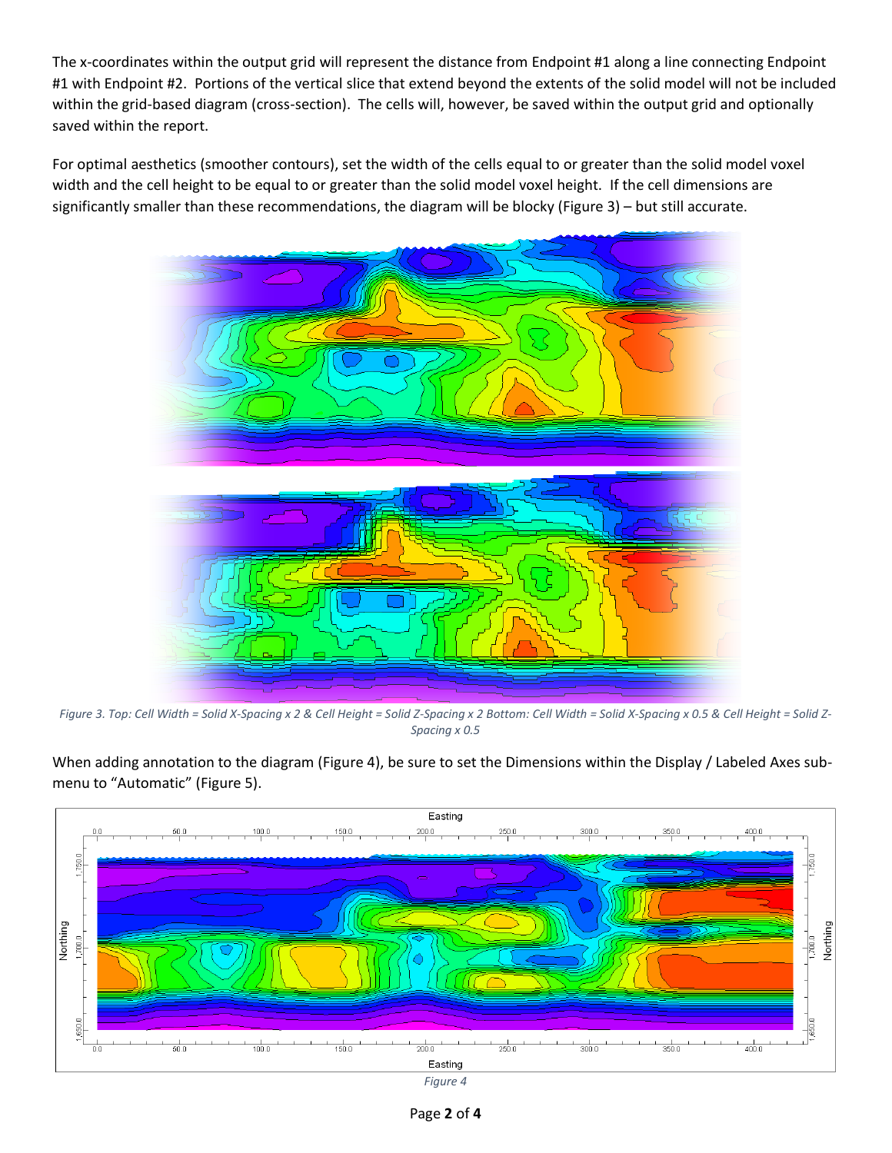The x-coordinates within the output grid will represent the distance from Endpoint #1 along a line connecting Endpoint #1 with Endpoint #2. Portions of the vertical slice that extend beyond the extents of the solid model will not be included within the grid-based diagram (cross-section). The cells will, however, be saved within the output grid and optionally saved within the report.

For optimal aesthetics (smoother contours), set the width of the cells equal to or greater than the solid model voxel width and the cell height to be equal to or greater than the solid model voxel height. If the cell dimensions are significantly smaller than these recommendations, the diagram will be blocky [\(Figure 3\)](#page-1-0) – but still accurate.



<span id="page-1-0"></span>*Figure 3. Top: Cell Width = Solid X-Spacing x 2 & Cell Height = Solid Z-Spacing x 2 Bottom: Cell Width = Solid X-Spacing x 0.5 & Cell Height = Solid Z-Spacing x 0.5*

When adding annotation to the diagram [\(Figure 4\)](#page-1-1), be sure to set the Dimensions within the Display / Labeled Axes submenu to "Automatic" [\(Figure 5\)](#page-2-0).

<span id="page-1-1"></span>

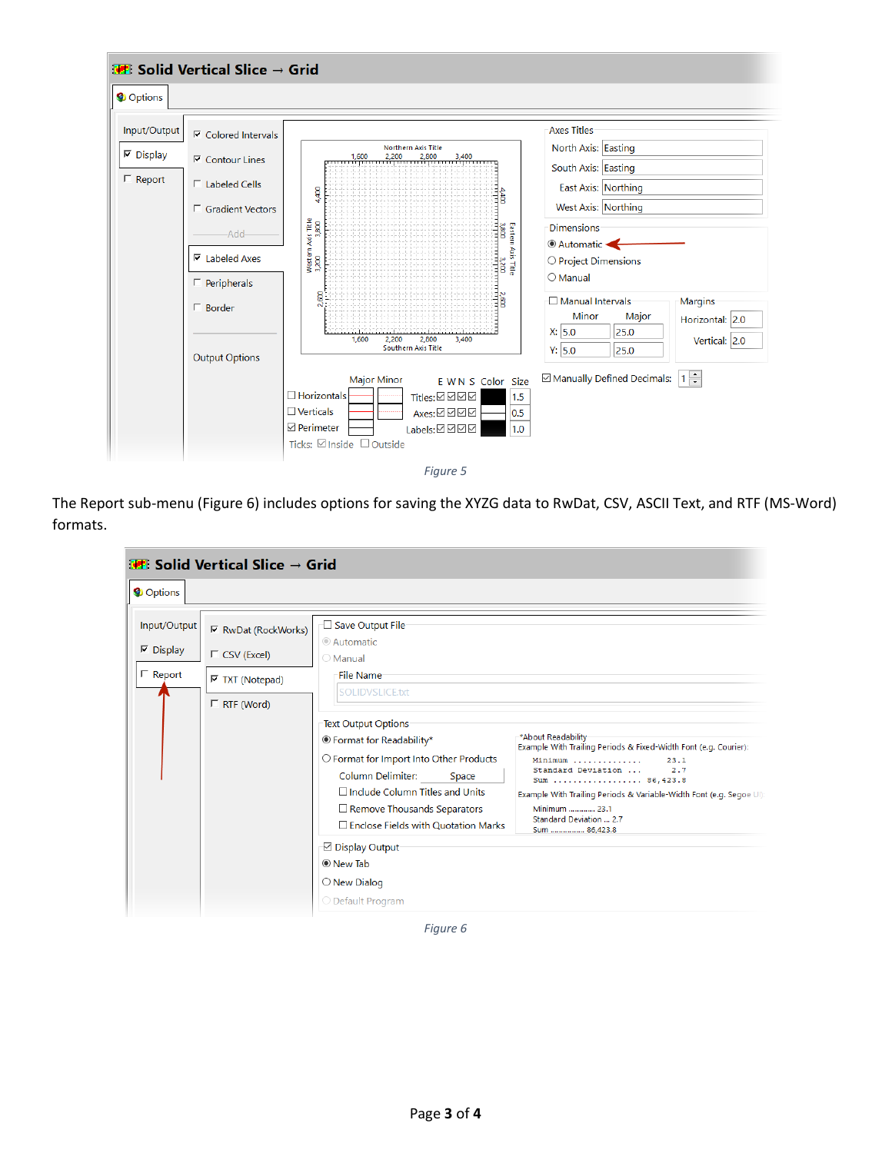

<span id="page-2-0"></span>The Report sub-menu [\(Figure 6\)](#page-2-1) includes options for saving the XYZG data to RwDat, CSV, ASCII Text, and RTF (MS-Word) formats.

| <b>Follo</b> Solid Vertical Slice $\rightarrow$ Grid |                                                                                                   |                                                                                                                                                                                                                                                                                                                                                                                                                                                              |                                                                                                                                                                                                                                                                                              |  |
|------------------------------------------------------|---------------------------------------------------------------------------------------------------|--------------------------------------------------------------------------------------------------------------------------------------------------------------------------------------------------------------------------------------------------------------------------------------------------------------------------------------------------------------------------------------------------------------------------------------------------------------|----------------------------------------------------------------------------------------------------------------------------------------------------------------------------------------------------------------------------------------------------------------------------------------------|--|
| Options                                              |                                                                                                   |                                                                                                                                                                                                                                                                                                                                                                                                                                                              |                                                                                                                                                                                                                                                                                              |  |
| Input/Output<br>$\nabla$ Display<br>$\Gamma$ Report  | $\nabla$ RwDat (RockWorks)<br>$\Gamma$ CSV (Excel)<br>$\nabla$ TXT (Notepad)<br>$\Box$ RTF (Word) | Save Output File<br>© Automatic<br>○ Manual<br><b>File Name</b><br><b>SOLIDVSLICE.txt</b><br>Text Output Options<br><sup>®</sup> Format for Readability*<br>O Format for Import Into Other Products<br><b>Column Delimiter:</b><br>Space<br>$\Box$ Include Column Titles and Units<br>$\Box$ Remove Thousands Separators<br>$\Box$ Enclose Fields with Quotation Marks<br><b>⊡</b> Display Output<br>◉ New Tab<br>$\bigcirc$ New Dialog<br>◯ Default Program | *About Readability<br>Example With Trailing Periods & Fixed-Width Font (e.g. Courier):<br>Minimum<br>23.1<br>Standard Deviation<br>2.7<br>Sum  86, 423.8<br>Example With Trailing Periods & Variable-Width Font (e.g. Segoe UI)<br>Minimum  23.1<br>Standard Deviation  2.7<br>Sum  86.423.8 |  |

<span id="page-2-1"></span>*Figure 6*